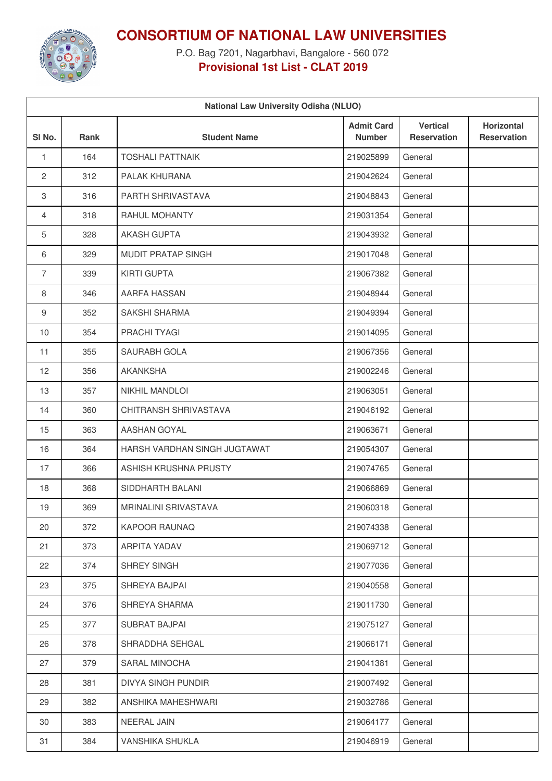

**CONSORTIUM OF NATIONAL LAW UNIVERSITIES**

P.O. Bag 7201, Nagarbhavi, Bangalore - 560 072 **Provisional 1st List - CLAT 2019**

| <b>National Law University Odisha (NLUO)</b> |      |                              |                                    |                                       |                                  |  |  |  |  |
|----------------------------------------------|------|------------------------------|------------------------------------|---------------------------------------|----------------------------------|--|--|--|--|
| SI <sub>No.</sub>                            | Rank | <b>Student Name</b>          | <b>Admit Card</b><br><b>Number</b> | <b>Vertical</b><br><b>Reservation</b> | Horizontal<br><b>Reservation</b> |  |  |  |  |
| $\mathbf{1}$                                 | 164  | <b>TOSHALI PATTNAIK</b>      | 219025899                          | General                               |                                  |  |  |  |  |
| 2                                            | 312  | PALAK KHURANA                | 219042624                          | General                               |                                  |  |  |  |  |
| 3                                            | 316  | PARTH SHRIVASTAVA            | 219048843                          | General                               |                                  |  |  |  |  |
| 4                                            | 318  | RAHUL MOHANTY                | 219031354                          | General                               |                                  |  |  |  |  |
| 5                                            | 328  | <b>AKASH GUPTA</b>           | 219043932                          | General                               |                                  |  |  |  |  |
| 6                                            | 329  | <b>MUDIT PRATAP SINGH</b>    | 219017048                          | General                               |                                  |  |  |  |  |
| $\overline{7}$                               | 339  | <b>KIRTI GUPTA</b>           | 219067382                          | General                               |                                  |  |  |  |  |
| 8                                            | 346  | AARFA HASSAN                 | 219048944                          | General                               |                                  |  |  |  |  |
| 9                                            | 352  | <b>SAKSHI SHARMA</b>         | 219049394                          | General                               |                                  |  |  |  |  |
| 10                                           | 354  | PRACHI TYAGI                 | 219014095                          | General                               |                                  |  |  |  |  |
| 11                                           | 355  | SAURABH GOLA                 | 219067356                          | General                               |                                  |  |  |  |  |
| 12                                           | 356  | <b>AKANKSHA</b>              | 219002246                          | General                               |                                  |  |  |  |  |
| 13                                           | 357  | <b>NIKHIL MANDLOI</b>        | 219063051                          | General                               |                                  |  |  |  |  |
| 14                                           | 360  | CHITRANSH SHRIVASTAVA        | 219046192                          | General                               |                                  |  |  |  |  |
| 15                                           | 363  | AASHAN GOYAL                 | 219063671                          | General                               |                                  |  |  |  |  |
| 16                                           | 364  | HARSH VARDHAN SINGH JUGTAWAT | 219054307                          | General                               |                                  |  |  |  |  |
| 17                                           | 366  | ASHISH KRUSHNA PRUSTY        | 219074765                          | General                               |                                  |  |  |  |  |
| 18                                           | 368  | SIDDHARTH BALANI             | 219066869                          | General                               |                                  |  |  |  |  |
| 19                                           | 369  | <b>MRINALINI SRIVASTAVA</b>  | 219060318                          | General                               |                                  |  |  |  |  |
| 20                                           | 372  | <b>KAPOOR RAUNAQ</b>         | 219074338                          | General                               |                                  |  |  |  |  |
| 21                                           | 373  | ARPITA YADAV                 | 219069712                          | General                               |                                  |  |  |  |  |
| 22                                           | 374  | SHREY SINGH                  | 219077036                          | General                               |                                  |  |  |  |  |
| 23                                           | 375  | SHREYA BAJPAI                | 219040558                          | General                               |                                  |  |  |  |  |
| 24                                           | 376  | SHREYA SHARMA                | 219011730                          | General                               |                                  |  |  |  |  |
| 25                                           | 377  | <b>SUBRAT BAJPAI</b>         | 219075127                          | General                               |                                  |  |  |  |  |
| 26                                           | 378  | SHRADDHA SEHGAL              | 219066171                          | General                               |                                  |  |  |  |  |
| 27                                           | 379  | SARAL MINOCHA                | 219041381                          | General                               |                                  |  |  |  |  |
| 28                                           | 381  | DIVYA SINGH PUNDIR           | 219007492                          | General                               |                                  |  |  |  |  |
| 29                                           | 382  | ANSHIKA MAHESHWARI           | 219032786                          | General                               |                                  |  |  |  |  |
| 30                                           | 383  | NEERAL JAIN                  | 219064177                          | General                               |                                  |  |  |  |  |
| 31                                           | 384  | VANSHIKA SHUKLA              | 219046919                          | General                               |                                  |  |  |  |  |